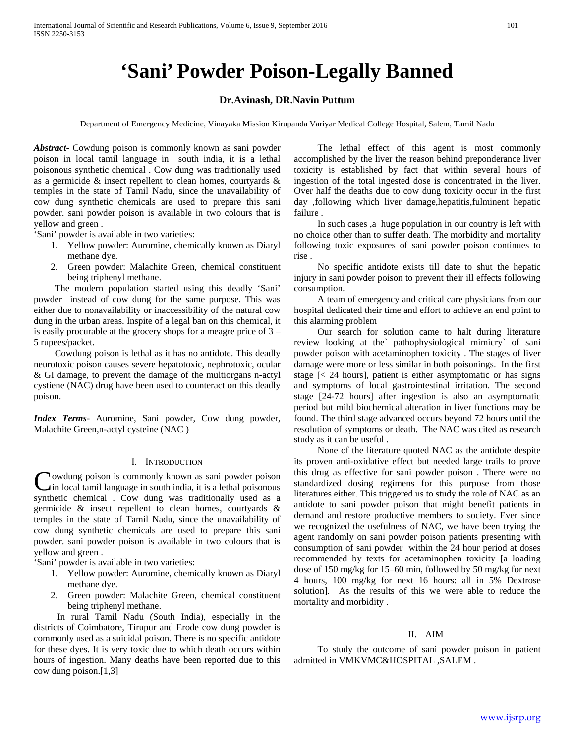# **'Sani' Powder Poison-Legally Banned**

## **Dr.Avinash, DR.Navin Puttum**

Department of Emergency Medicine, Vinayaka Mission Kirupanda Variyar Medical College Hospital, Salem, Tamil Nadu

*Abstract***-** Cowdung poison is commonly known as sani powder poison in local tamil language in south india, it is a lethal poisonous synthetic chemical . Cow dung was traditionally used as a germicide & insect repellent to clean homes, courtyards & temples in the state of Tamil Nadu, since the unavailability of cow dung synthetic chemicals are used to prepare this sani powder. sani powder poison is available in two colours that is yellow and green .

'Sani' powder is available in two varieties:

- 1. Yellow powder: Auromine, chemically known as Diaryl methane dye.
- 2. Green powder: Malachite Green, chemical constituent being triphenyl methane.

 The modern population started using this deadly 'Sani' powder instead of cow dung for the same purpose. This was either due to nonavailability or inaccessibility of the natural cow dung in the urban areas. Inspite of a legal ban on this chemical, it is easily procurable at the grocery shops for a meagre price of 3 – 5 rupees/packet.

 Cowdung poison is lethal as it has no antidote. This deadly neurotoxic poison causes severe hepatotoxic, nephrotoxic, ocular & GI damage, to prevent the damage of the multiorgans n-actyl cystiene (NAC) drug have been used to counteract on this deadly poison.

*Index Terms*- Auromine, Sani powder, Cow dung powder, Malachite Green,n-actyl cysteine (NAC )

#### I. INTRODUCTION

**Nowdung poison is commonly known as sani powder poison** Cowdung poison is commonly known as sani powder poison<br>in local tamil language in south india, it is a lethal poisonous<br>classical distants of the conduction synthetic chemical . Cow dung was traditionally used as a germicide & insect repellent to clean homes, courtyards & temples in the state of Tamil Nadu, since the unavailability of cow dung synthetic chemicals are used to prepare this sani powder. sani powder poison is available in two colours that is yellow and green .

'Sani' powder is available in two varieties:

- 1. Yellow powder: Auromine, chemically known as Diaryl methane dye.
- 2. Green powder: Malachite Green, chemical constituent being triphenyl methane.

 In rural Tamil Nadu (South India), especially in the districts of Coimbatore, Tirupur and Erode cow dung powder is commonly used as a suicidal poison. There is no specific antidote for these dyes. It is very toxic due to which death occurs within hours of ingestion. Many deaths have been reported due to this cow dung poison.[1,3]

 The lethal effect of this agent is most commonly accomplished by the liver the reason behind preponderance liver toxicity is established by fact that within several hours of ingestion of the total ingested dose is concentrated in the liver. Over half the deaths due to cow dung toxicity occur in the first day ,following which liver damage,hepatitis,fulminent hepatic failure .

 In such cases ,a huge population in our country is left with no choice other than to suffer death. The morbidity and mortality following toxic exposures of sani powder poison continues to rise .

 No specific antidote exists till date to shut the hepatic injury in sani powder poison to prevent their ill effects following consumption.

 A team of emergency and critical care physicians from our hospital dedicated their time and effort to achieve an end point to this alarming problem

 Our search for solution came to halt during literature review looking at the` pathophysiological mimicry` of sani powder poison with acetaminophen toxicity . The stages of liver damage were more or less similar in both poisonings. In the first stage [< 24 hours], patient is either asymptomatic or has signs and symptoms of local gastrointestinal irritation. The second stage [24-72 hours] after ingestion is also an asymptomatic period but mild biochemical alteration in liver functions may be found. The third stage advanced occurs beyond 72 hours until the resolution of symptoms or death. The NAC was cited as research study as it can be useful .

 None of the literature quoted NAC as the antidote despite its proven anti-oxidative effect but needed large trails to prove this drug as effective for sani powder poison . There were no standardized dosing regimens for this purpose from those literatures either. This triggered us to study the role of NAC as an antidote to sani powder poison that might benefit patients in demand and restore productive members to society. Ever since we recognized the usefulness of NAC, we have been trying the agent randomly on sani powder poison patients presenting with consumption of sani powder within the 24 hour period at doses recommended by texts for acetaminophen toxicity [a loading dose of 150 mg/kg for 15–60 min, followed by 50 mg/kg for next 4 hours, 100 mg/kg for next 16 hours: all in 5% Dextrose solution]. As the results of this we were able to reduce the mortality and morbidity .

#### II. AIM

 To study the outcome of sani powder poison in patient admitted in VMKVMC&HOSPITAL ,SALEM .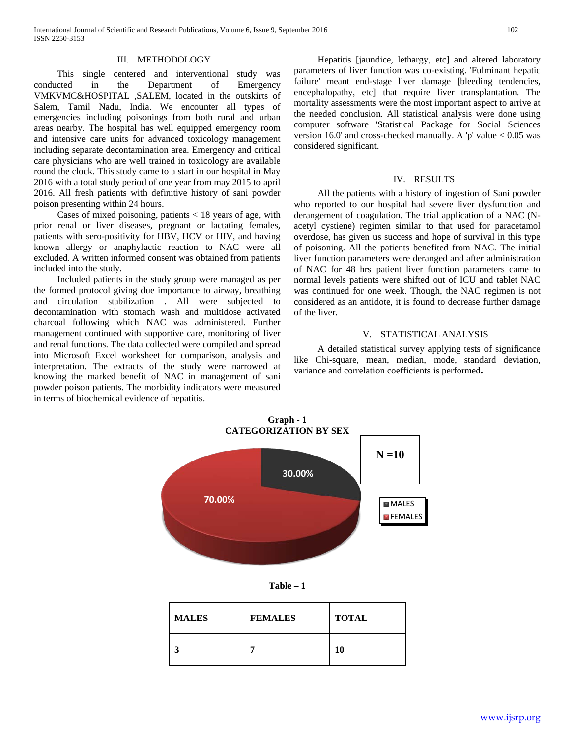### III. METHODOLOGY

 This single centered and interventional study was conducted in the Department of Emergency VMKVMC&HOSPITAL ,SALEM, located in the outskirts of Salem, Tamil Nadu, India. We encounter all types of emergencies including poisonings from both rural and urban areas nearby. The hospital has well equipped emergency room and intensive care units for advanced toxicology management including separate decontamination area. Emergency and critical care physicians who are well trained in toxicology are available round the clock. This study came to a start in our hospital in May 2016 with a total study period of one year from may 2015 to april 2016. All fresh patients with definitive history of sani powder poison presenting within 24 hours.

 Cases of mixed poisoning, patients < 18 years of age, with prior renal or liver diseases, pregnant or lactating females, patients with sero-positivity for HBV, HCV or HIV, and having known allergy or anaphylactic reaction to NAC were all excluded. A written informed consent was obtained from patients included into the study.

 Included patients in the study group were managed as per the formed protocol giving due importance to airway, breathing and circulation stabilization . All were subjected to decontamination with stomach wash and multidose activated charcoal following which NAC was administered. Further management continued with supportive care, monitoring of liver and renal functions. The data collected were compiled and spread into Microsoft Excel worksheet for comparison, analysis and interpretation. The extracts of the study were narrowed at knowing the marked benefit of NAC in management of sani powder poison patients. The morbidity indicators were measured in terms of biochemical evidence of hepatitis.

 Hepatitis [jaundice, lethargy, etc] and altered laboratory parameters of liver function was co-existing. 'Fulminant hepatic failure' meant end-stage liver damage [bleeding tendencies, encephalopathy, etc] that require liver transplantation. The mortality assessments were the most important aspect to arrive at the needed conclusion. All statistical analysis were done using computer software 'Statistical Package for Social Sciences version 16.0' and cross-checked manually. A 'p' value  $< 0.05$  was considered significant.

#### IV. RESULTS

 All the patients with a history of ingestion of Sani powder who reported to our hospital had severe liver dysfunction and derangement of coagulation. The trial application of a NAC (Nacetyl cystiene) regimen similar to that used for paracetamol overdose, has given us success and hope of survival in this type of poisoning. All the patients benefited from NAC. The initial liver function parameters were deranged and after administration of NAC for 48 hrs patient liver function parameters came to normal levels patients were shifted out of ICU and tablet NAC was continued for one week. Though, the NAC regimen is not considered as an antidote, it is found to decrease further damage of the liver.

#### V. STATISTICAL ANALYSIS

 A detailed statistical survey applying tests of significance like Chi-square, mean, median, mode, standard deviation, variance and correlation coefficients is performed**.** 



**Table – 1**

| <b>MALES</b> | <b>FEMALES</b> | <b>TOTAL</b> |
|--------------|----------------|--------------|
|              |                | 10           |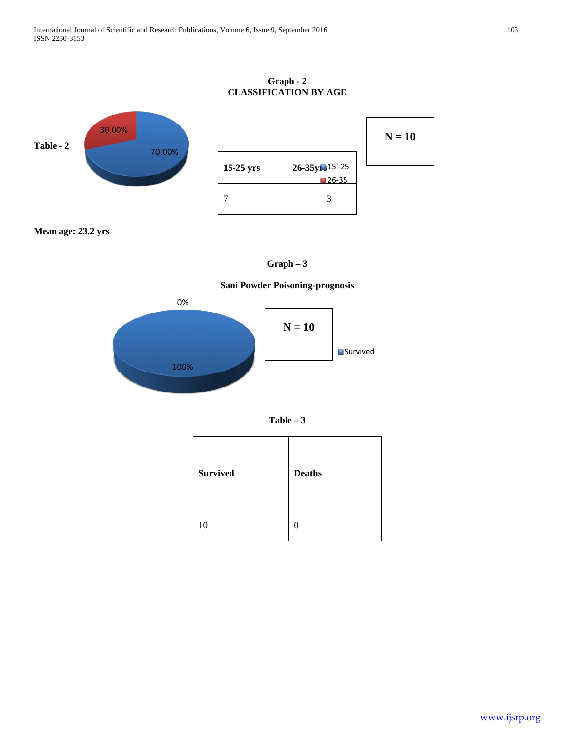## **Graph - 2 CLASSIFICATION BY AGE**



**Mean age: 23.2 yrs**



## **Sani Powder Poisoning-prognosis**





| <b>Survived</b> | <b>Deaths</b> |
|-----------------|---------------|
| 10              | $\Omega$      |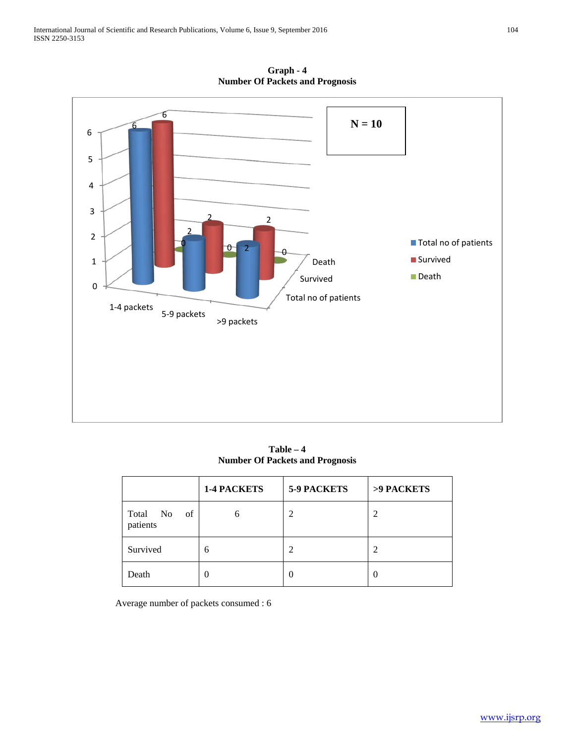

**Graph - 4 Number Of Packets and Prognosis**

**Table – 4 Number Of Packets and Prognosis**

|                            | <b>1-4 PACKETS</b> | <b>5-9 PACKETS</b> | >9 PACKETS |
|----------------------------|--------------------|--------------------|------------|
| Total No<br>of<br>patients | n                  | $\mathfrak{D}$     | 2          |
| Survived                   | 6                  | 2                  | 2          |
| Death                      |                    |                    |            |

Average number of packets consumed : 6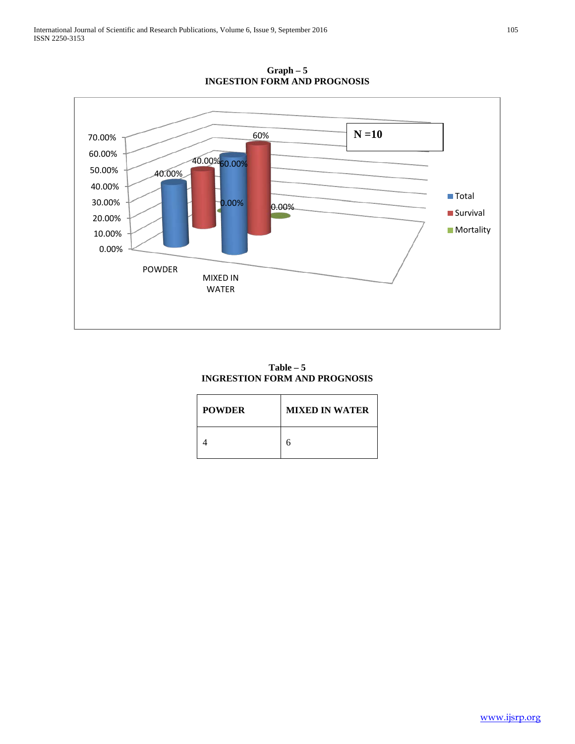

**Graph – 5 INGESTION FORM AND PROGNOSIS**

**Table – 5 INGRESTION FORM AND PROGNOSIS**

| <b>POWDER</b> | <b>MIXED IN WATER</b> |
|---------------|-----------------------|
|               |                       |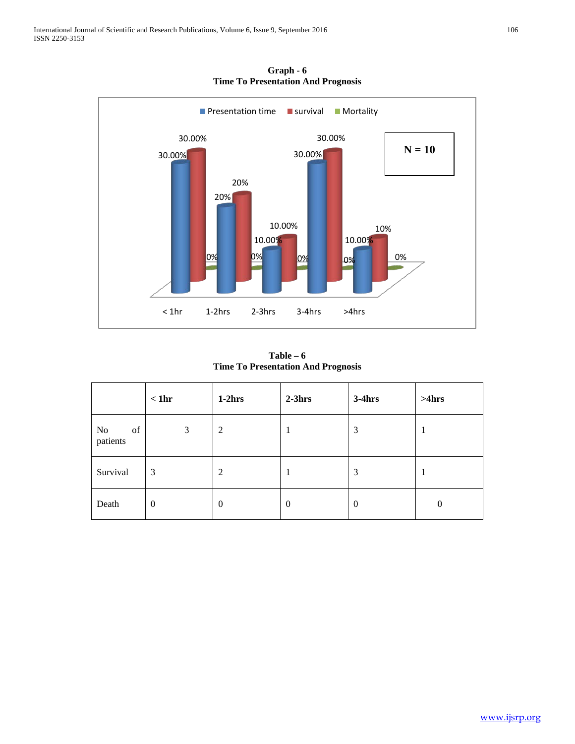

**Graph - 6 Time To Presentation And Prognosis**

**Table – 6 Time To Presentation And Prognosis**

|                                  | $<$ 1hr  | $1-2hrs$         | $2-3hrs$       | $3-4hrs$         | >4hrs            |
|----------------------------------|----------|------------------|----------------|------------------|------------------|
| of<br>N <sub>0</sub><br>patients | 3        | $\overline{c}$   |                | 3                |                  |
| Survival                         | 3        | 2                |                | 3                |                  |
| Death                            | $\theta$ | $\boldsymbol{0}$ | $\overline{0}$ | $\boldsymbol{0}$ | $\boldsymbol{0}$ |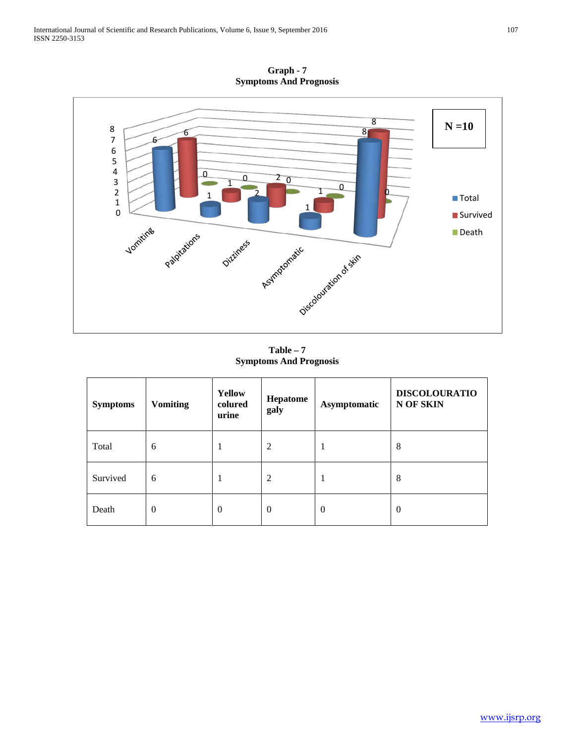**Graph - 7 Symptoms And Prognosis**



**Table – 7 Symptoms And Prognosis**

| <b>Symptoms</b> | <b>Vomiting</b> | <b>Yellow</b><br>colured<br>urine | Hepatome<br>galy | Asymptomatic | <b>DISCOLOURATIO</b><br>N OF SKIN |
|-----------------|-----------------|-----------------------------------|------------------|--------------|-----------------------------------|
| Total           | 6               | -1                                | 2                |              | 8                                 |
| Survived        | 6               | -1                                | 2                |              | $\,8\,$                           |
| Death           | $\theta$        | $\theta$                          | $\theta$         | $\theta$     | $\theta$                          |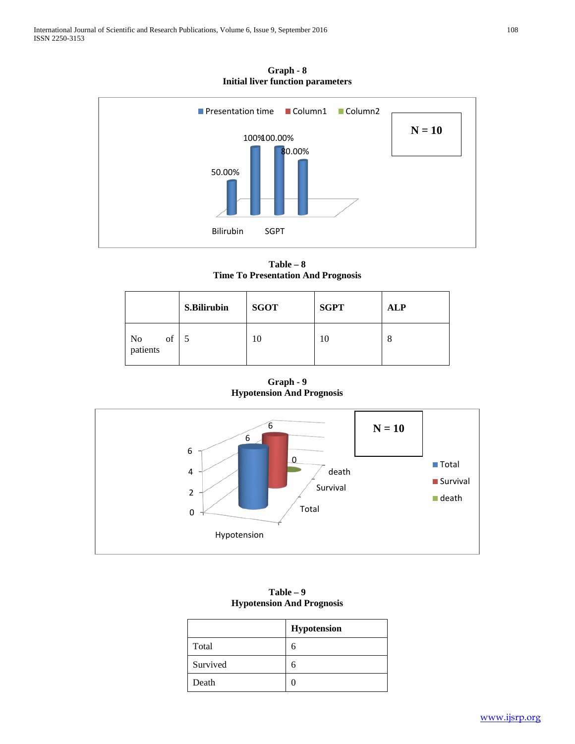**Graph - 8 Initial liver function parameters**



**Table – 8 Time To Presentation And Prognosis**

|                      | <b>S.Bilirubin</b> | <b>SGOT</b> | <b>SGPT</b> | <b>ALP</b> |
|----------------------|--------------------|-------------|-------------|------------|
| No<br>patients<br>of |                    | 10          | 10          | 8          |

**Graph - 9 Hypotension And Prognosis**



| $-$ , poveznecem sense a cognome |             |  |
|----------------------------------|-------------|--|
|                                  | Hypotension |  |
| Total                            | 6           |  |
| Survived                         | 6           |  |
| Death                            |             |  |

**Table – 9 Hypotension And Prognosis**